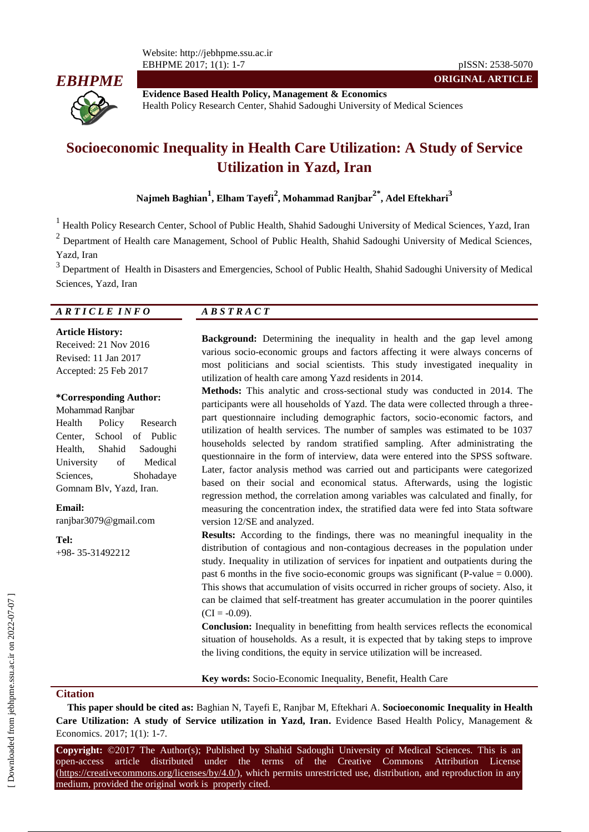

**Evidence Based Health Policy, Management & Economics** Health Policy Research Center, Shahid Sadoughi University of Medical Sciences

# **Socioeconomic Inequality in Health Care Utilization: A Study of Service Utilization in Yazd, Iran**

**Najmeh Baghian<sup>1</sup> , Elham Tayefi<sup>2</sup> , Mohammad Ranjbar2\*, Adel Eftekhari<sup>3</sup>**

<sup>1</sup> Health Policy Research Center, School of Public Health, Shahid Sadoughi University of Medical Sciences, Yazd, Iran

 $2$  Department of Health care Management, School of Public Health, Shahid Sadoughi University of Medical Sciences, Yazd, Iran

<sup>3</sup> Department of Health in Disasters and Emergencies, School of Public Health, Shahid Sadoughi University of Medical Sciences, Yazd, Iran

#### *A R T I C L E I N F O A B S T R A C T*

**Article History:**

Received: 21 Nov 2016 Revised: 11 Jan 2017 Accepted: 25 Feb 2017

#### **\*Corresponding Author:**

Mohammad Ranjbar Health Policy Research Center, School of Public Health, Shahid Sadoughi University of Medical Sciences, Shohadaye Gomnam Blv, Yazd, Iran.

**Email:** ranjbar3079@gmail.com

**Tel:** +98- 35-31492212

**Background:** Determining the inequality in health and the gap level among various socio-economic groups and factors affecting it were always concerns of most politicians and social scientists. This study investigated inequality in utilization of health care among Yazd residents in 2014.

**ORIGINAL ARTICLE**

**Methods:** This analytic and cross-sectional study was conducted in 2014. The participants were all households of Yazd. The data were collected through a threepart questionnaire including demographic factors, socio-economic factors, and utilization of health services. The number of samples was estimated to be 1037 households selected by random stratified sampling. After administrating the questionnaire in the form of interview, data were entered into the SPSS software. Later, factor analysis method was carried out and participants were categorized based on their social and economical status. Afterwards, using the logistic regression method, the correlation among variables was calculated and finally, for measuring the concentration index, the stratified data were fed into Stata software version 12/SE and analyzed.

**Results:** According to the findings, there was no meaningful inequality in the distribution of contagious and non-contagious decreases in the population under study. Inequality in utilization of services for inpatient and outpatients during the past 6 months in the five socio-economic groups was significant (P-value  $= 0.000$ ). This shows that accumulation of visits occurred in richer groups of society. Also, it can be claimed that self-treatment has greater accumulation in the poorer quintiles  $(CI = -0.09)$ .

**Conclusion:** Inequality in benefitting from health services reflects the economical situation of households. As a result, it is expected that by taking steps to improve the living conditions, the equity in service utilization will be increased.

**Key words:** Socio-Economic Inequality, Benefit, Health Care

#### **Citation**

**This paper should be cited as:** Baghian N, Tayefi E, Ranjbar M, Eftekhari A. **Socioeconomic Inequality in Health Care Utilization: A study of Service utilization in Yazd, Iran.** Evidence Based Health Policy, Management & Economics. 2017; 1(1): 1-7.

**Copyright:** ©2017 The Author(s); Published by Shahid Sadoughi University of Medical Sciences. This is an open-access article distributed under the terms of the Creative Commons Attribution License (https://creativecommons.org/licenses/by/4.0/), which permits unrestricted use, distribution, and reproduction in any medium, provided the original work is properly cited.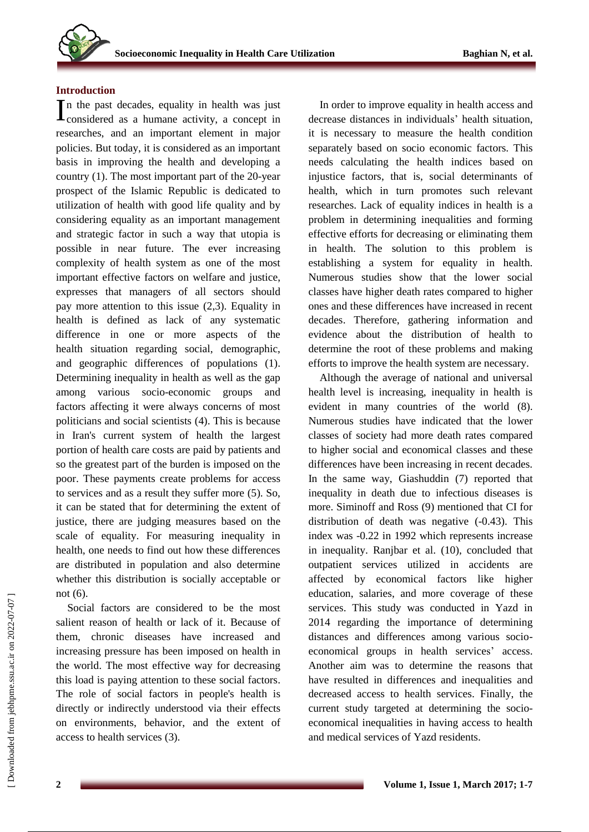## **Introduction**

n the past decades, equality in health was just  $\prod$ n the past decades, equality in health was just<br>considered as a humane activity, a concept in researches, and an important element in major policies. But today, it is considered as an important basis in improving the health and developing a country (1). The most important part of the 20-year prospect of the Islamic Republic is dedicated to utilization of health with good life quality and by considering equality as an important management and strategic factor in such a way that utopia is possible in near future. The ever increasing complexity of health system as one of the most important effective factors on welfare and justice, expresses that managers of all sectors should pay more attention to this issue (2,3). Equality in health is defined as lack of any systematic difference in one or more aspects of the health situation regarding social, demographic, and geographic differences of populations (1). Determining inequality in health as well as the gap among various socio-economic groups and factors affecting it were always concerns of most politicians and social scientists (4). This is because in Iran's current system of health the largest portion of health care costs are paid by patients and so the greatest part of the burden is imposed on the poor. These payments create problems for access to services and as a result they suffer more (5). So, it can be stated that for determining the extent of justice, there are judging measures based on the scale of equality. For measuring inequality in health, one needs to find out how these differences are distributed in population and also determine whether this distribution is socially acceptable or not (6).

Social factors are considered to be the most salient reason of health or lack of it. Because of them, chronic diseases have increased and increasing pressure has been imposed on health in the world. The most effective way for decreasing this load is paying attention to these social factors. The role of social factors in people's health is directly or indirectly understood via their effects on environments, behavior, and the extent of access to health services (3).

In order to improve equality in health access and decrease distances in individuals' health situation, it is necessary to measure the health condition separately based on socio economic factors. This needs calculating the health indices based on injustice factors, that is, social determinants of health, which in turn promotes such relevant researches. Lack of equality indices in health is a problem in determining inequalities and forming effective efforts for decreasing or eliminating them in health. The solution to this problem is establishing a system for equality in health. Numerous studies show that the lower social classes have higher death rates compared to higher ones and these differences have increased in recent decades. Therefore, gathering information and evidence about the distribution of health to determine the root of these problems and making efforts to improve the health system are necessary.

Although the average of national and universal health level is increasing, inequality in health is evident in many countries of the world (8). Numerous studies have indicated that the lower classes of society had more death rates compared to higher social and economical classes and these differences have been increasing in recent decades. In the same way, Giashuddin (7) reported that inequality in death due to infectious diseases is more. Siminoff and Ross (9) mentioned that CI for distribution of death was negative (-0.43). This index was -0.22 in 1992 which represents increase in inequality. Ranjbar et al. (10), concluded that outpatient services utilized in accidents are affected by economical factors like higher education, salaries, and more coverage of these services. This study was conducted in Yazd in 2014 regarding the importance of determining distances and differences among various socioeconomical groups in health services' access. Another aim was to determine the reasons that have resulted in differences and inequalities and decreased access to health services. Finally, the current study targeted at determining the socioeconomical inequalities in having access to health and medical services of Yazd residents.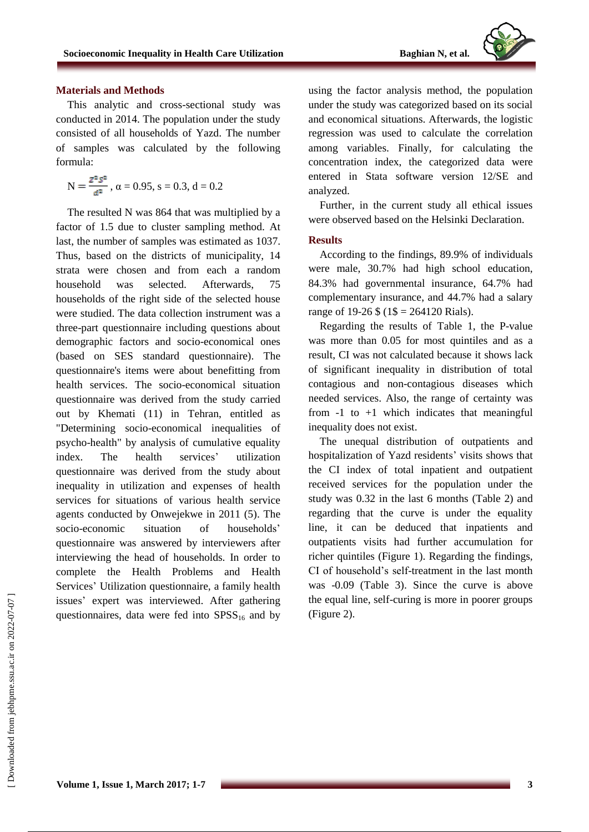

#### **Materials and Methods**

This analytic and cross-sectional study was conducted in 2014. The population under the study consisted of all households of Yazd. The number of samples was calculated by the following formula:

$$
N=\frac{z^{\tt 2} {\it s}^{\tt 2}}{\it a^{\tt 2}}\;,\,\alpha=0.95,\,s=0.3,\,d=0.2
$$

The resulted N was 864 that was multiplied by a factor of 1.5 due to cluster sampling method. At last, the number of samples was estimated as 1037. Thus, based on the districts of municipality, 14 strata were chosen and from each a random household was selected. Afterwards, 75 households of the right side of the selected house were studied. The data collection instrument was a three-part questionnaire including questions about demographic factors and socio-economical ones (based on SES standard questionnaire). The questionnaire's items were about benefitting from health services. The socio-economical situation questionnaire was derived from the study carried out by Khemati (11) in Tehran, entitled as "Determining socio-economical inequalities of psycho-health" by analysis of cumulative equality index. The health services' utilization questionnaire was derived from the study about inequality in utilization and expenses of health services for situations of various health service agents conducted by Onwejekwe in 2011 (5). The socio-economic situation of households' questionnaire was answered by interviewers after interviewing the head of households. In order to complete the Health Problems and Health Services' Utilization questionnaire, a family health issues' expert was interviewed. After gathering questionnaires, data were fed into  $SPSS_{16}$  and by

using the factor analysis method, the population under the study was categorized based on its social and economical situations. Afterwards, the logistic regression was used to calculate the correlation among variables. Finally, for calculating the concentration index, the categorized data were entered in Stata software version 12/SE and analyzed.

Further, in the current study all ethical issues were observed based on the Helsinki Declaration.

#### **Results**

According to the findings, 89.9% of individuals were male, 30.7% had high school education, 84.3% had governmental insurance, 64.7% had complementary insurance, and 44.7% had a salary range of 19-26  $\frac{1}{2}$  (1\\$ = 264120 Rials).

Regarding the results of Table 1, the P-value was more than 0.05 for most quintiles and as a result, CI was not calculated because it shows lack of significant inequality in distribution of total contagious and non-contagious diseases which needed services. Also, the range of certainty was from  $-1$  to  $+1$  which indicates that meaningful inequality does not exist.

The unequal distribution of outpatients and hospitalization of Yazd residents' visits shows that the CI index of total inpatient and outpatient received services for the population under the study was 0.32 in the last 6 months (Table 2) and regarding that the curve is under the equality line, it can be deduced that inpatients and outpatients visits had further accumulation for richer quintiles (Figure 1). Regarding the findings, CI of household's self-treatment in the last month was -0.09 (Table 3). Since the curve is above the equal line, self-curing is more in poorer groups (Figure 2).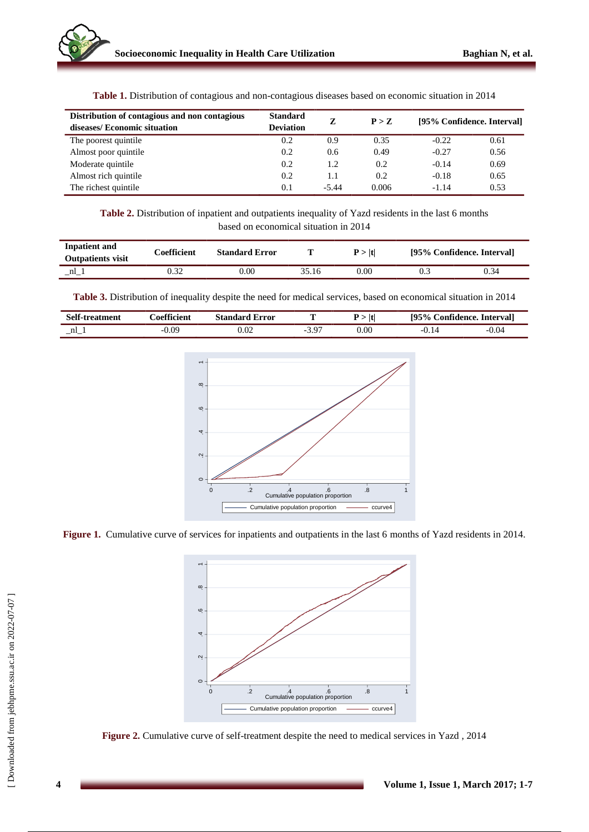| Distribution of contagious and non contagious<br>diseases/ Economic situation | <b>Standard</b><br><b>Deviation</b> | Z             | P > Z | [95% Confidence. Interval] |      |
|-------------------------------------------------------------------------------|-------------------------------------|---------------|-------|----------------------------|------|
| The poorest quintile.                                                         | 0.2                                 | 0.9           | 0.35  | $-0.22$                    | 0.61 |
| Almost poor quintile                                                          | 0.2                                 | $0.6^{\circ}$ | 0.49  | $-0.27$                    | 0.56 |
| Moderate quintile                                                             | 0.2                                 | 1.2           | 0.2   | $-0.14$                    | 0.69 |
| Almost rich quintile                                                          | 0.2                                 | 1.1           | 0.2   | $-0.18$                    | 0.65 |
| The richest quintile                                                          | 0.1                                 | $-5.44$       | 0.006 | $-1.14$                    | 0.53 |

**Table 1.** Distribution of contagious and non-contagious diseases based on economic situation in 2014

**Table 2.** Distribution of inpatient and outpatients inequality of Yazd residents in the last 6 months based on economical situation in 2014

| Inpatient and<br><b>Outpatients visit</b> | Coefficient | <b>Standard Error</b> |       | P >  t | [95% Confidence. Interval] |      |
|-------------------------------------------|-------------|-----------------------|-------|--------|----------------------------|------|
| nl                                        |             | 0.00                  | 35.16 | 0.00   |                            | 0.34 |

**Table 3.** Distribution of inequality despite the need for medical services, based on economical situation in 2014

| <b>Self-treatment</b> | <i>c</i> oefficient | Error<br>Standard | t    | $\mathbf{e}$<br>195%<br>Confidence. Intervall |         |
|-----------------------|---------------------|-------------------|------|-----------------------------------------------|---------|
| $\_nl$                | $-0.09$             | 1.02              | 0.00 |                                               | $-0.04$ |



**Figure 1.** Cumulative curve of services for inpatients and outpatients in the last 6 months of Yazd residents in 2014.



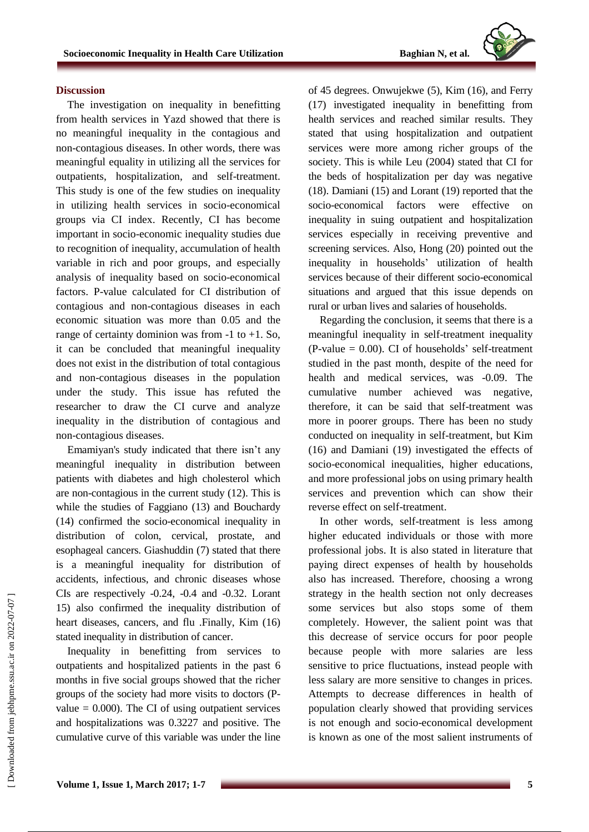

#### **Discussion**

The investigation on inequality in benefitting from health services in Yazd showed that there is no meaningful inequality in the contagious and non-contagious diseases. In other words, there was meaningful equality in utilizing all the services for outpatients, hospitalization, and self-treatment. This study is one of the few studies on inequality in utilizing health services in socio-economical groups via CI index. Recently, CI has become important in socio-economic inequality studies due to recognition of inequality, accumulation of health variable in rich and poor groups, and especially analysis of inequality based on socio-economical factors. P-value calculated for CI distribution of contagious and non-contagious diseases in each economic situation was more than 0.05 and the range of certainty dominion was from  $-1$  to  $+1$ . So, it can be concluded that meaningful inequality does not exist in the distribution of total contagious and non-contagious diseases in the population under the study. This issue has refuted the researcher to draw the CI curve and analyze inequality in the distribution of contagious and non-contagious diseases.

Emamiyan's study indicated that there isn't any meaningful inequality in distribution between patients with diabetes and high cholesterol which are non-contagious in the current study (12). This is while the studies of Faggiano (13) and Bouchardy (14) confirmed the socio-economical inequality in distribution of colon, cervical, prostate, and esophageal cancers. Giashuddin (7) stated that there is a meaningful inequality for distribution of accidents, infectious, and chronic diseases whose CIs are respectively -0.24, -0.4 and -0.32. Lorant 15) also confirmed the inequality distribution of heart diseases, cancers, and flu .Finally, Kim (16) stated inequality in distribution of cancer.

Inequality in benefitting from services to outpatients and hospitalized patients in the past 6 months in five social groups showed that the richer groups of the society had more visits to doctors (Pvalue  $= 0.000$ . The CI of using outpatient services and hospitalizations was 0.3227 and positive. The cumulative curve of this variable was under the line of 45 degrees. Onwujekwe (5), Kim (16), and Ferry (17) investigated inequality in benefitting from health services and reached similar results. They stated that using hospitalization and outpatient services were more among richer groups of the society. This is while Leu (2004) stated that CI for the beds of hospitalization per day was negative (18). Damiani (15) and Lorant (19) reported that the socio-economical factors were effective inequality in suing outpatient and hospitalization services especially in receiving preventive and screening services. Also, Hong (20) pointed out the inequality in households' utilization of health services because of their different socio-economical situations and argued that this issue depends on rural or urban lives and salaries of households.

Regarding the conclusion, it seems that there is a meaningful inequality in self-treatment inequality  $(P-value = 0.00)$ . CI of households' self-treatment studied in the past month, despite of the need for health and medical services, was -0.09. The cumulative number achieved was negative, therefore, it can be said that self-treatment was more in poorer groups. There has been no study conducted on inequality in self-treatment, but Kim (16) and Damiani (19) investigated the effects of socio-economical inequalities, higher educations, and more professional jobs on using primary health services and prevention which can show their reverse effect on self-treatment.

In other words, self-treatment is less among higher educated individuals or those with more professional jobs. It is also stated in literature that paying direct expenses of health by households also has increased. Therefore, choosing a wrong strategy in the health section not only decreases some services but also stops some of them completely. However, the salient point was that this decrease of service occurs for poor people because people with more salaries are less sensitive to price fluctuations, instead people with less salary are more sensitive to changes in prices. Attempts to decrease differences in health of population clearly showed that providing services is not enough and socio-economical development is known as one of the most salient instruments of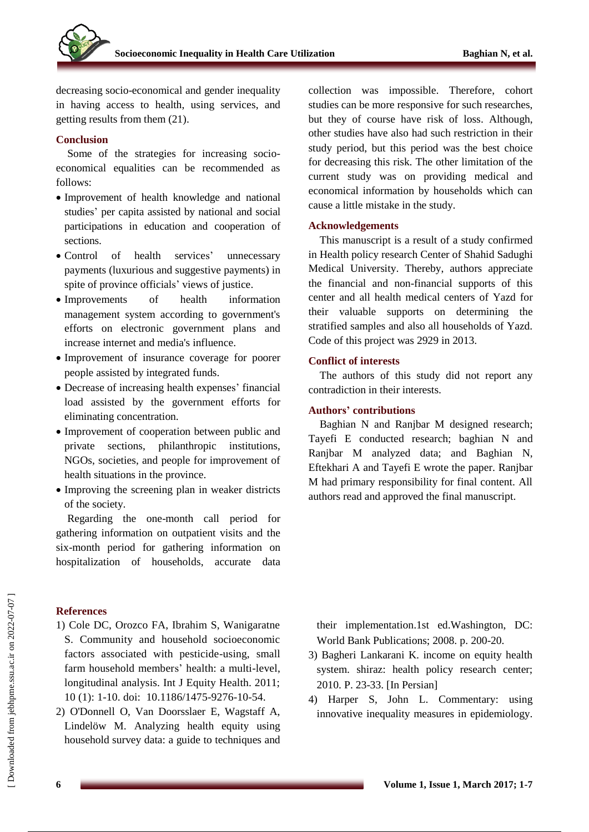decreasing socio-economical and gender inequality in having access to health, using services, and getting results from them (21).

#### **Conclusion**

Some of the strategies for increasing socioeconomical equalities can be recommended as follows:

- Improvement of health knowledge and national studies' per capita assisted by national and social participations in education and cooperation of sections.
- Control of health services' unnecessary payments (luxurious and suggestive payments) in spite of province officials' views of justice.
- Improvements of health information management system according to government's efforts on electronic government plans and increase internet and media's influence.
- Improvement of insurance coverage for poorer people assisted by integrated funds.
- Decrease of increasing health expenses' financial load assisted by the government efforts for eliminating concentration.
- Improvement of cooperation between public and private sections, philanthropic institutions, NGOs, societies, and people for improvement of health situations in the province.
- Improving the screening plan in weaker districts of the society.

Regarding the one-month call period for gathering information on outpatient visits and the six-month period for gathering information on hospitalization of households, accurate data

### **References**

1) Cole DC, Orozco FA, Ibrahim S, Wanigaratne S. Community and household socioeconomic factors associated with pesticide-using, small farm household members' health: a multi-level, longitudinal analysis. Int J Equity Health. 2011; 10 (1): 1-10. doi: [10.1186/1475-9276-10-54.](https://dx.doi.org/10.1186%2F1475-9276-10-54)

2) O'Donnell O, Van Doorsslaer E, Wagstaff A, Lindelöw M. Analyzing health equity using household survey data: a guide to techniques and collection was impossible. Therefore, cohort studies can be more responsive for such researches, but they of course have risk of loss. Although, other studies have also had such restriction in their study period, but this period was the best choice for decreasing this risk. The other limitation of the current study was on providing medical and economical information by households which can cause a little mistake in the study.

#### **Acknowledgements**

This manuscript is a result of a study confirmed in Health policy research Center of Shahid Sadughi Medical University. Thereby, authors appreciate the financial and non-financial supports of this center and all health medical centers of Yazd for their valuable supports on determining the stratified samples and also all households of Yazd. Code of this project was 2929 in 2013.

#### **Conflict of interests**

The authors of this study did not report any contradiction in their interests.

#### **Authors' contributions**

Baghian N and Ranjbar M designed research; Tayefi E conducted research; baghian N and Ranjbar M analyzed data; and Baghian N, Eftekhari A and Tayefi E wrote the paper. Ranjbar M had primary responsibility for final content. All authors read and approved the final manuscript.

their implementation.1st ed.Washington, DC: World Bank Publications; 2008. p. 200-20.

- 3) Bagheri Lankarani K. income on equity health system. shiraz: health policy research center; 2010. P. 23-33. [In Persian]
- 4) Harper S, John L. Commentary: using innovative inequality measures in epidemiology.